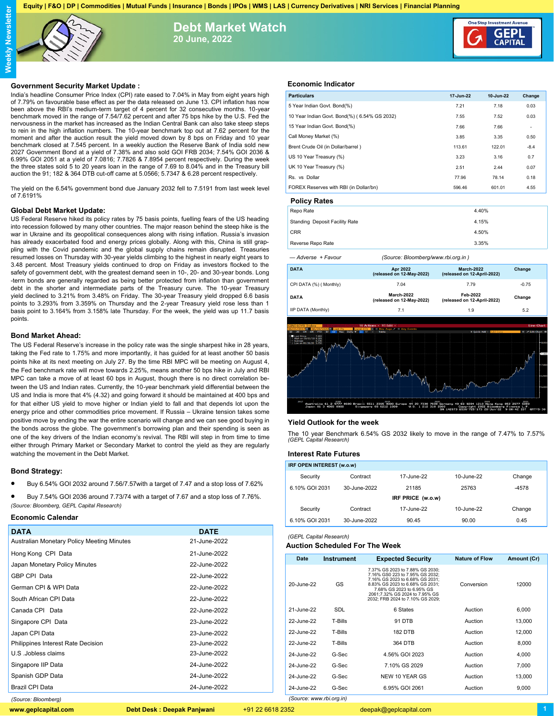**Equity | F&O | DP | Commodities | Mutual Funds | Insurance | Bonds | IPOs | WMS | LAS | Currency Derivatives | NRI Services | Financial Planning**



**Debt Market Watch 20 June, 2022**



## **Government Security Market Update :**

India's headline Consumer Price Index (CPI) rate eased to 7.04% in May from eight years high of 7.79% on favourable base effect as per the data released on June 13. CPI inflation has now been above the RBI's medium-term target of 4 percent for 32 consecutive months. 10-year benchmark moved in the range of 7.54/7.62 percent and after 75 bps hike by the U.S. Fed the nervousness in the market has increased as the Indian Central Bank can also take steep steps to rein in the high inflation numbers. The 10-year benchmark top out at 7.62 percent for the moment and after the auction result the yield moved down by 8 bps on Friday and 10 year benchmark closed at 7.545 percent. In a weekly auction the Reserve Bank of India sold new 2027 Government Bond at a yield of 7.38% and also sold GOI FRB 2034; 7.54% GOI 2036 & 6.99% GOI 2051 at a yield of 7.0816; 7.7826 & 7.8954 percent respectively. During the week the three states sold 5 to 20 years loan in the range of 7.69 to 8.04% and in the Treasury bill auction the 91; 182 & 364 DTB cut-off came at 5.0566; 5.7347 & 6.28 percent respectively.

The yield on the 6.54% government bond due January 2032 fell to 7.5191 from last week level of 7.6191%

#### **Global Debt Market Update:**

US Federal Reserve hiked its policy rates by 75 basis points, fuelling fears of the US heading into recession followed by many other countries. The major reason behind the steep hike is the war in Ukraine and its geopolitical consequences along with rising inflation. Russia's invasion has already exacerbated food and energy prices globally. Along with this, China is still grappling with the Covid pandemic and the global supply chains remain disrupted. Treasuries resumed losses on Thursday with 30-year yields climbing to the highest in nearly eight years to 3.48 percent. Most Treasury yields continued to drop on Friday as investors flocked to the safety of government debt, with the greatest demand seen in 10-, 20- and 30-year bonds. Long -term bonds are generally regarded as being better protected from inflation than government debt in the shorter and intermediate parts of the Treasury curve. The 10-year Treasury yield declined to 3.21% from 3.48% on Friday. The 30-year Treasury yield dropped 6.6 basis points to 3.293% from 3.359% on Thursday and the 2-year Treasury yield rose less than 1 basis point to 3.164% from 3.158% late Thursday. For the week, the yield was up 11.7 basis points.

### **Bond Market Ahead:**

The US Federal Reserve's increase in the policy rate was the single sharpest hike in 28 years, taking the Fed rate to 1.75% and more importantly, it has guided for at least another 50 basis points hike at its next meeting on July 27. By the time RBI MPC will be meeting on August 4, the Fed benchmark rate will move towards 2.25%, means another 50 bps hike in July and RBI MPC can take a move of at least 60 bps in August, though there is no direct correlation between the US and Indian rates. Currently, the 10-year benchmark yield differential between the US and India is more that 4% (4.32) and going forward it should be maintained at 400 bps and for that either US yield to move higher or Indian yield to fall and that depends lot upon the energy price and other commodities price movement. If Russia – Ukraine tension takes some positive move by ending the war the entire scenario will change and we can see good buying in the bonds across the globe. The government's borrowing plan and their spending is seen as one of the key drivers of the Indian economy's revival. The RBI will step in from time to time either through Primary Market or Secondary Market to control the yield as they are regularly watching the movement in the Debt Market.

# **Bond Strategy:**

- Buy 6.54% GOI 2032 around 7.56/7.57with a target of 7.47 and a stop loss of 7.62%
- Buy 7.54% GOI 2036 around 7.73/74 with a target of 7.67 and a stop loss of 7.76%. *(Source: Bloomberg, GEPL Capital Research)*

## **Economic Calendar**

| <b>DATA</b>                                | <b>DATE</b>  |
|--------------------------------------------|--------------|
| Australian Monetary Policy Meeting Minutes | 21-June-2022 |
| Hong Kong CPI Data                         | 21-June-2022 |
| Japan Monetary Policy Minutes              | 22-June-2022 |
| GBP CPI Data                               | 22-June-2022 |
| German CPI & WPI Data                      | 22-June-2022 |
| South African CPI Data                     | 22-June-2022 |
| Canada CPI Data                            | 22-June-2022 |
| Singapore CPI Data                         | 23-June-2022 |
| Japan CPI Data                             | 23-June-2022 |
| Philippines Interest Rate Decision         | 23-June-2022 |
| U.S. Jobless claims                        | 23-June-2022 |
| Singapore IIP Data                         | 24-June-2022 |
| Spanish GDP Data                           | 24-June-2022 |
| Brazil CPI Data                            | 24-June-2022 |
| (Source: Bloombera)                        |              |

# **Economic Indicator**

| 17-Jun-22                          | 10-Jun-22 | Change                                                                                                                                              |
|------------------------------------|-----------|-----------------------------------------------------------------------------------------------------------------------------------------------------|
| 7.21                               | 7.18      | 0.03                                                                                                                                                |
| 7.55                               | 7.52      | 0.03                                                                                                                                                |
| 7.66                               | 7.66      |                                                                                                                                                     |
| 3.85                               | 3.35      | 0.50                                                                                                                                                |
| 113.61                             | 122.01    | $-8.4$                                                                                                                                              |
| 3.23                               | 3.16      | 0.7                                                                                                                                                 |
| 2.51                               | 2.44      | 0.07                                                                                                                                                |
| 77.96                              | 78.14     | 0.18                                                                                                                                                |
| 596.46                             | 601.01    | 4.55                                                                                                                                                |
|                                    |           |                                                                                                                                                     |
|                                    |           |                                                                                                                                                     |
|                                    |           |                                                                                                                                                     |
|                                    |           |                                                                                                                                                     |
|                                    |           |                                                                                                                                                     |
| (Source: Bloomberg/www.rbi.org.in) |           |                                                                                                                                                     |
|                                    |           | Change                                                                                                                                              |
| 7.79                               |           | $-0.75$                                                                                                                                             |
| Feb-2022                           |           | Change                                                                                                                                              |
| 1.9                                |           | 5.2                                                                                                                                                 |
|                                    |           | <b>Line Chart</b>                                                                                                                                   |
|                                    |           | « / Edit Chart ©                                                                                                                                    |
|                                    |           | RANDW<br><b>LOW</b>                                                                                                                                 |
|                                    |           | 4.40%<br>4.15%<br>4.50%<br>3.35%<br><b>March-2022</b><br>(released on 12-April-2022)<br>(released on 12-April-2022)<br>+ Quick-Add - <mark>I</mark> |

## **Yield Outlook for the week**

The 10 year Benchmark 6.54% GS 2032 likely to move in the range of 7.47% to 7.57% *(GEPL Capital Research)*

# **Interest Rate Futures**

| IRF OPEN INTEREST (w.o.w) |              |            |            |         |  |
|---------------------------|--------------|------------|------------|---------|--|
| Security                  | Contract     | 17-June-22 | 10-June-22 | Change  |  |
| 6.10% GOI 2031            | 30-June-2022 | 21185      | 25763      | $-4578$ |  |
| IRF PRICE (w.o.w)         |              |            |            |         |  |
| Security                  | Contract     | 17-June-22 | 10-June-22 | Change  |  |
| 6.10% GOI 2031            | 30-June-2022 | 90.45      | 90.00      | 0.45    |  |

# *(GEPL Capital Research)*

*(Source: www.rbi.org.in)*

# **Auction Scheduled For The Week**

| Date       | <b>Instrument</b> | <b>Expected Security</b>                                                                                                                                                                                                                    | <b>Nature of Flow</b> | Amount (Cr) |
|------------|-------------------|---------------------------------------------------------------------------------------------------------------------------------------------------------------------------------------------------------------------------------------------|-----------------------|-------------|
| 20-June-22 | GS                | 7.37% GS 2023 to 7.88% GS 2030:<br>7.16% GS0 223 to 7.95% GS 2032:<br>7.16% GS 2023 to 6.68% GS 2031;<br>8.83% GS 2023 to 6.68% GS 2031:<br>7.68% GS 2023 to 6.95% GS<br>2061:7.32% GS 2024 to 7.95% GS<br>2032; FRB 2024 to 7.10% GS 2029; | Conversion            | 12000       |
| 21-June-22 | SDL               | 6 States                                                                                                                                                                                                                                    | Auction               | 6.000       |
| 22-June-22 | T-Bills           | 91 DTB                                                                                                                                                                                                                                      | Auction               | 13,000      |
| 22-June-22 | T-Bills           | <b>182 DTB</b>                                                                                                                                                                                                                              | Auction               | 12.000      |
| 22-June-22 | T-Bills           | 364 DTB                                                                                                                                                                                                                                     | Auction               | 8.000       |
| 24-June-22 | G-Sec             | 4.56% GOI 2023                                                                                                                                                                                                                              | Auction               | 4.000       |
| 24-June-22 | G-Sec             | 7.10% GS 2029                                                                                                                                                                                                                               | Auction               | 7.000       |
| 24-June-22 | G-Sec             | NEW 10 YEAR GS                                                                                                                                                                                                                              | Auction               | 13,000      |
| 24-June-22 | G-Sec             | 6.95% GOI 2061                                                                                                                                                                                                                              | Auction               | 9,000       |

**www.geplcapital.com Debt Desk : Deepak Panjwani** +91 22 6618 2352 deepak@geplcapital.com